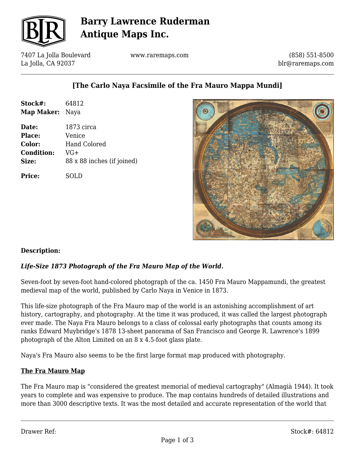

## **Barry Lawrence Ruderman Antique Maps Inc.**

7407 La Jolla Boulevard La Jolla, CA 92037

www.raremaps.com

(858) 551-8500 blr@raremaps.com

## **[The Carlo Naya Facsimile of the Fra Mauro Mappa Mundi]**

| Stock#:           | 64812                      |
|-------------------|----------------------------|
| Map Maker: Naya   |                            |
| Date:             | 1873 circa                 |
| Place:            | Venice                     |
| Color:            | <b>Hand Colored</b>        |
| <b>Condition:</b> | VG+                        |
| Size:             | 88 x 88 inches (if joined) |
| <b>Price:</b>     | SOLD                       |



### **Description:**

### *Life-Size 1873 Photograph of the Fra Mauro Map of the World.*

Seven-foot by seven-foot hand-colored photograph of the ca. 1450 Fra Mauro Mappamundi, the greatest medieval map of the world, published by Carlo Naya in Venice in 1873.

This life-size photograph of the Fra Mauro map of the world is an astonishing accomplishment of art history, cartography, and photography. At the time it was produced, it was called the largest photograph ever made. The Naya Fra Mauro belongs to a class of colossal early photographs that counts among its ranks Edward Muybridge's 1878 13-sheet panorama of San Francisco and George R. Lawrence's 1899 photograph of the Alton Limited on an 8 x 4.5-foot glass plate.

Naya's Fra Mauro also seems to be the first large format map produced with photography.

### **The Fra Mauro Map**

The Fra Mauro map is "considered the greatest memorial of medieval cartography" (Almagià 1944). It took years to complete and was expensive to produce. The map contains hundreds of detailed illustrations and more than 3000 descriptive texts. It was the most detailed and accurate representation of the world that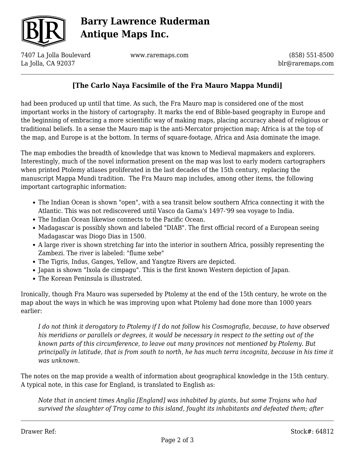

# **Barry Lawrence Ruderman Antique Maps Inc.**

7407 La Jolla Boulevard La Jolla, CA 92037

www.raremaps.com

(858) 551-8500 blr@raremaps.com

## **[The Carlo Naya Facsimile of the Fra Mauro Mappa Mundi]**

had been produced up until that time. As such, the Fra Mauro map is considered one of the most important works in the history of cartography. It marks the end of Bible-based geography in Europe and the beginning of embracing a more scientific way of making maps, placing accuracy ahead of religious or traditional beliefs. In a sense the Mauro map is the anti-Mercator projection map; Africa is at the top of the map, and Europe is at the bottom. In terms of square-footage, Africa and Asia dominate the image.

The map embodies the breadth of knowledge that was known to Medieval mapmakers and explorers. Interestingly, much of the novel information present on the map was lost to early modern cartographers when printed Ptolemy atlases proliferated in the last decades of the 15th century, replacing the manuscript Mappa Mundi tradition. The Fra Mauro map includes, among other items, the following important cartographic information:

- The Indian Ocean is shown "open", with a sea transit below southern Africa connecting it with the Atlantic. This was not rediscovered until Vasco da Gama's 1497-'99 sea voyage to India.
- The Indian Ocean likewise connects to the Pacific Ocean.
- Madagascar is possibly shown and labeled "DIAB". The first official record of a European seeing Madagascar was Diogo Dias in 1500.
- A large river is shown stretching far into the interior in southern Africa, possibly representing the Zambezi. The river is labeled: "flume xebe"
- The Tigris, Indus, Ganges, Yellow, and Yangtze Rivers are depicted.
- Japan is shown "Ixola de cimpagu". This is the first known Western depiction of Japan.
- The Korean Peninsula is illustrated.

Ironically, though Fra Mauro was superseded by Ptolemy at the end of the 15th century, he wrote on the map about the ways in which he was improving upon what Ptolemy had done more than 1000 years earlier:

*I do not think it derogatory to Ptolemy if I do not follow his Cosmografia, because, to have observed his meridians or parallels or degrees, it would be necessary in respect to the setting out of the known parts of this circumference, to leave out many provinces not mentioned by Ptolemy. But principally in latitude, that is from south to north, he has much terra incognita, because in his time it was unknown.*

The notes on the map provide a wealth of information about geographical knowledge in the 15th century. A typical note, in this case for England, is translated to English as:

*Note that in ancient times Anglia [England] was inhabited by giants, but some Trojans who had survived the slaughter of Troy came to this island, fought its inhabitants and defeated them; after*